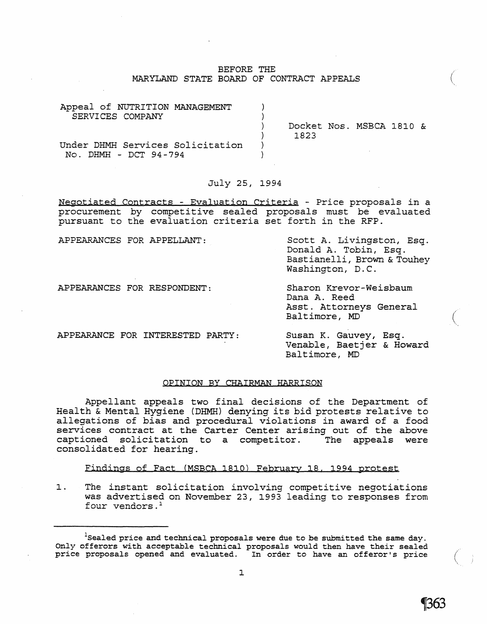## BEFORE THE MARYLAND STATE BOARD OF CONTRACT APPEALS

| Appeal of NUTRITION MANAGEMENT<br>SERVICES COMPANY        |                                  |  |  |
|-----------------------------------------------------------|----------------------------------|--|--|
|                                                           | Docket Nos. MSBCA 1810 &<br>1823 |  |  |
| Under DHMH Services Solicitation<br>No. DHMH - DCT 94-794 |                                  |  |  |

### July 25, 1994

Negotiated Contracts - Evaluation Criteria - Price proposals in a procurement by competitive sealed proposals must be evaluated pursuant to the evaluation criteria set forth in the RFP.

APPEARANCES FOR APPELLANT:

Scott A. Livingston, Esq. Donald A. Tobin, Esq. Bastianelli, Brown & Touhey Washington, D.C.

APPEARANCES FOR RESPONDENT:

Sharon Krevor-Weisbaum Dana A. Reed Asst. Attorneys General Baltimore, MD

APPEARANCE FOR INTERESTED PARTY:

Susan K. Gauvey, Esq. Venable, Baetjer & Howard Baltimore, MD

#### OPINION BY CHAIRMAN HARRISON

Appellant appeals two final decisions of the Department of Health & Mental Hygiene (DHMH) denying its bid protests relative to allegations of bias and procedural violations in award of a food services contract at the Carter Center arising out of the above<br>captioned solicitation to a competitor. The appeals were captioned solicitation to a competitor. consolidated for hearing.

Findings of Fact (MSBCA 1810) February 18. 1994 protest

1. The instant solicitation involving competitive negotiations was advertised on November 23, 1993 leading to responses from four vendors.<sup>1</sup>

 $\Big($ 

 $\Big($ 

 $^1$ Sealed price and technical proposals were due to be submitted the same day. Only offerors with acceptable technical proposals would then have their sealed price proposals opened and evaluated. In order to have an offeror's price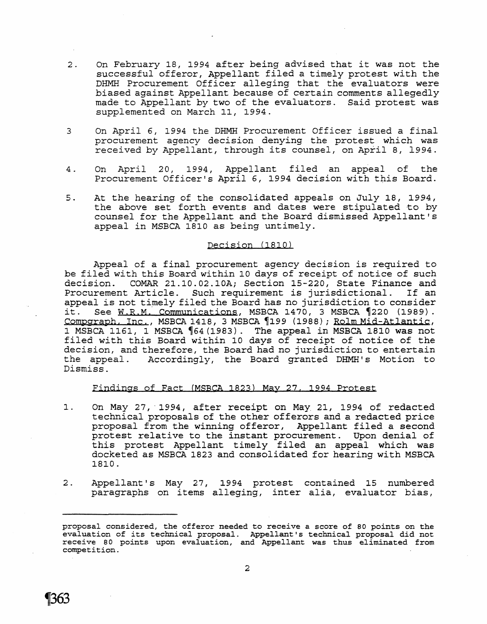- 2. On February 18, 1994 after being advised that it was not the successful offeror, Appellant filed a timely protest with the DHMH Procurement Officer alleging that the evaluators were biased against Appellant because of certain comments allegedly made to Appellant by two of the evaluators. Said protest was supplemented on March 11, 1994.
- 3 On April 6, 1994 the DHMH Procurement Officer issued a final procurement agency decision denying the protest which was received by Appellant, through its counsel, on April 8, 1994.
- 4. On April 20, 1994, Appellant filed an appeal of the Procurement Officer's April 6, 1994 decision with this Board.
- 5. At the hearing of the consolidated appeals on July 18, 2994, the above set forth events and dates were stipulated to by counsel for the Appellant and the Board dismissed Appellant's appeal in MSBCA 1810 as being untimely.

### Decision (1810)

Appeal of a final procurement agency decision is required to be filed with this Board within 10 days of receipt of notice of such<br>decision. COMAR 21.10.02.10A; Section 15-220, State Finance and COMAR 21.10.02.10A; Section 15-220, State Finance and<br>t Article. Such requirement is jurisdictional. If an Procurement Article. Such requirement is jurisdictional. appeal is not timely filed the Board has no jurisdiction to consider<br>it. See W.R.M. Communications, MSBCA 1470, 3 MSBCA 1220 (1989). See W.R.M. Communications, MSBCA 1470, 3 MSBCA 1220 (1989). Compgraph, Inc., MSBCA 1418, 3 MSBCA 1999 (1988); Rolm Mid-Atlantic, 1 MSBCA 1261, 1 MSBCA '64(1983). The appeal in MSBCA 1810 was not filed with this Board within 10 days of receipt of notice of the decision, and therefore, the Board had no jurisdiction to entertain the appeal. Accordingly, the Board granted DHMH's Motion to Dismiss.

#### Findings of Fact (MSBCA 1823) May 27, 1994 Protest

- 1. On May 27, 1994, after receipt on May 21, 1994 of redacted technical proposals of the other offerors and a redacted price proposal from the winning offeror, Appellant filed a second protest relative to the instant procurement. Upon denial of this protest Appellant timely filed an appeal which was docketed as MSBCA 1823 and consolidated for hearing with MSBCA 1810.
- 2. Appellant's May 27, 2994 protest contained 25 numbered paragraphs on items alleging, inter alia, evaluator bias,



proposal considered, the offeror needed to receive a score of 80 points on the evaluation of its technical proposal. Appellant's technical proposal did not receive 80 points upon evaluation, and Appellant was thus eliminated from competition.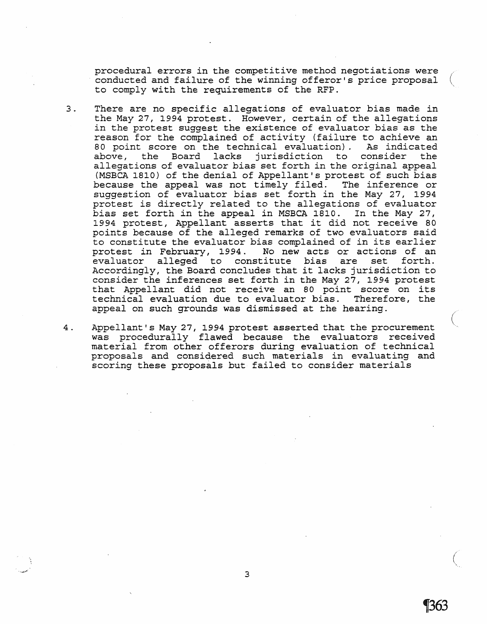procedural errors in the competitive method negotiations were conducted and failure of the winning offeror's price proposal to comply with the requirements of the RFP.

3 . There are no specific allegations of evaluator bias made in the May 27, 1994 protest. However, certain of the allegations in the protest suggest the existence of evaluator bias as the reason for the complained of activity (failure to achieve an<br>80 point score on the technical evaluation). As indicated 80 point score on the technical evaluation). As indicated<br>above, the Board lacks jurisdiction to consider the above, the Board lacks jurisdiction to consider allegations of evaluator bias set forth *in* the original appeal (MSBCA 1810) of the denial of Appellant's protest of such bias<br>because the appeal was not timely filed. The inference or because the appeal was not timely filed. suggestion of evaluator bias set forth *in* the May 27, 1994 protest *is* directly related to the allegations of evaluator bias set forth in the appeal in MSBCA 1810. In the May 27, 1994 protest, Appellant asserts that it did not receive 80 points because of the alleged remarks of two evaluators said to constitute the evaluator bias complained of in its earlier<br>protest in February, 1994. No new acts or actions of an protest in February, 1994. No new acts or actions of an evaluator alleged to constitute bias are set Accordingly, the Board concludes that it lacks jurisdiction to consider the inferences set forth in the May 27, 1994 protest that Appellant did not receive an 80 point score on its technical evaluation due to evaluator bias. Therefore, the appeal on such grounds was dismissed at the hearing.

4 . Appellant's May 27, 1994 protest asserted that the procurement was procedurally flawed because the evaluators received material from other offerors during evaluation of technical proposals and considered such materials *in* evaluating and scoring these proposals but failed to consider materials

 $\bigg($ 

1363

3

*'\_--'0:'"*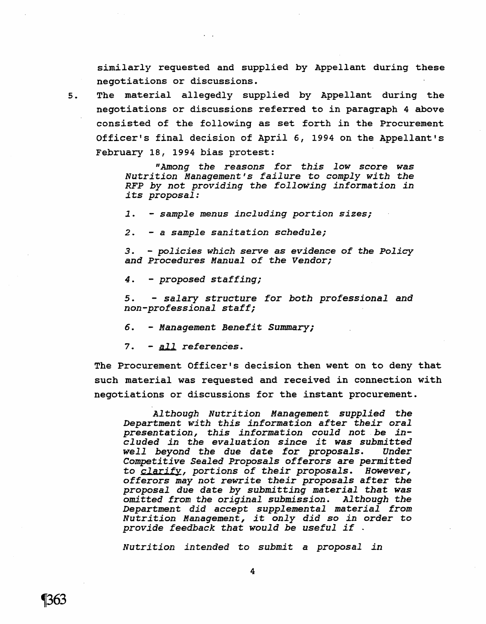similarly requested and supplied by Appellant during these negotiations or discussions.

5. The material allegedly supplied by Appellant during the negotiations or discussions referred to *in* paragraph 4 above consisted of the following as set forth *in* the Procurement Officer's final decision of April 6, 1994 on the Appellant's February 18, 1994 bias protest:

> *"Among the reasons for this low* score *was Nutrition Management's failure* to *comply with the RFP by not providing the following information in its proposal:*

1. - *sample menus including portion sizes;* 

2. - a *sample sanitation schedule;* 

3. - *policies which serve* as *evidence of the Policy and Procedures Manual of the Vendor;* 

4. - *proposed staffing;* 

5. - *salary structure for both professional and non-professional staff;* 

6. - *Management Benefit Summary;* 

7. - *All references.* 

The Procurement Officer's decision then went on to deny that such material was requested and received in connection with negotiations or discussions for the instant procurement.

*Although Nutrition Management supplied* the *Department with this information* after *their oral presentation, this information could not, be included in the evaluation since it was submitted well beyond the due date for proposals. Competitive Sealed Proposals offerors* are permitted to *clarifY, portions of their proposals. However, offerors may not* rewrite *their proposals* after the *proposal due* date *by submitting* material that was *omitted from the original submission. Although* the Department *did accept supplemental* material from *Nutrition Management, it only did* so *in* order to *provide feedback* that *would be useful if .* 

*Nutrition intended* to *submit* a *proposal in*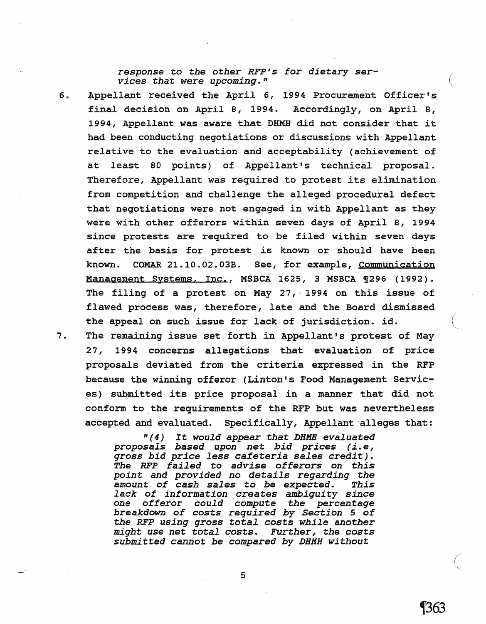response to the other RFP's for dietary services that were upcoming."

6. Appellant received the April 6, 1994 Procurement Officer's final decision on April 8, 1994. Accordingly, on April 8, 1994, Appellant was aware that DHMH did not consider that it had been conducting negotiations or discussions with Appellant relative to the evaluation and acceptability (achievement of at least 80 points) of Appellant's technical proposal. Therefore, Appellant was required to protest its elimination from competition and challenge the alleged procedural defect that negotiations were not engaged in with Appellant as they were with other offerors within seven days of April 8, 1994 since protests are required to be filed within seven days after the basis for protest *is* known or should have been known. COMAR 21.10.02.03B. See, for example, Communication Management Systems. Inc., MSBCA 1625, 3 MSBCA 1296 (1992). The filing of a protest on May 27, 1994 on this issue of flawed process was, therefore, late and the Board dismissed the appeal on such issue for lack of jurisdiction. id.

7. The remaining.issue set forth in Appellant's protest of May 27, 1994 concerns allegations that evaluation of price proposals deviated from the criteria expressed in the RFP because the winning offeror (Linton's Food Management Services) submitted its price proposal in a manner that did not conform to the requirements of the RFP but was nevertheless accepted and evaluated. Specifically, Appellant alleges that:

> " (4) It would appear that DHMH evaluated proposals based upon net bid prices (i.e, gross bid price less cafeteria sales credit). The RFP failed to advise offerors on this point and provided no details regarding the amount of cash sales to be expected. This lack of information creates ambiguity since one offeror could compute the percentage one cricity could compace the percentage the RFP using gross total costs while another might use net total costs. Further, the costs submitted cannot be compared by DHMH without

 $\left(\right)$ 

1363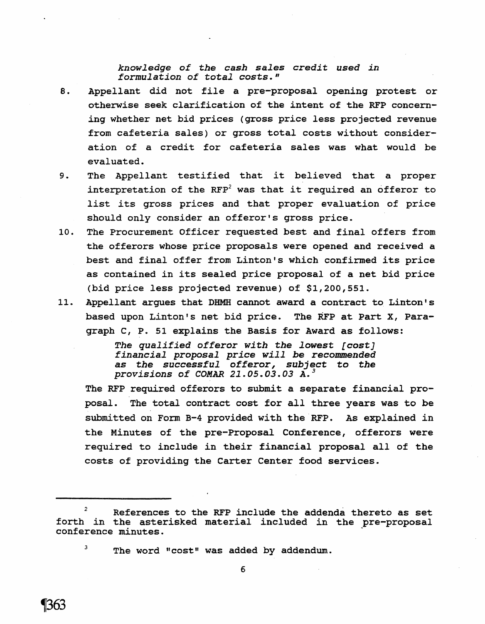*knowledge of the cash sales credit used in formulation of total costs."* 

8. Appellant did not file a pre-proposal opening protest or otherwise seek clarification of the intent of the RFP concerning whether net bid prices (gross price less projected revenue from cafeteria sales) or gross total costs without consideration of a credit for cafeteria sales was what would be evaluated.

- 9. The Appellant testified that it believed that a proper interpretation of the RFP<sup>2</sup> was that it required an offeror to list its gross prices and that proper evaluation of price should only consider an offeror's gross price.
- 10. The Procurement Officer requested best and final offers from the offerors whose price proposals were opened and received a best and final offer from Linton's which confirmed its price as contained in its sealed price proposal of a net bid price (bid price less projected revenue) of \$1,200,551.
- 11. Appellant argues that DHMH cannot award a contract to Linton's based upon Linton's net bid price. The RFP at Part X, Paragraph C, P. 51 explains the Basis for Award as follows:

*The qualified* offeror *with the lowest [cost] financial proposal price will be recommended as the successful offeror, subject* to *the provisions of COMAR 21.05.03.03 A. <sup>3</sup>*

The RFP required offerors to submit a separate financial proposal. The total contract cost for all three years was to be submitted on Form B-4 provided with the RFP. As explained in the Minutes of the pre-Proposal Conference, offerors were required to include in their financial proposal all of the costs of providing the Carter Center food services.

 $3$  The word "cost" was added by addendum.

 $2^2$  References to the RFP include the addenda thereto as set forth in the asterisked material included in the pre-proposal conference minutes.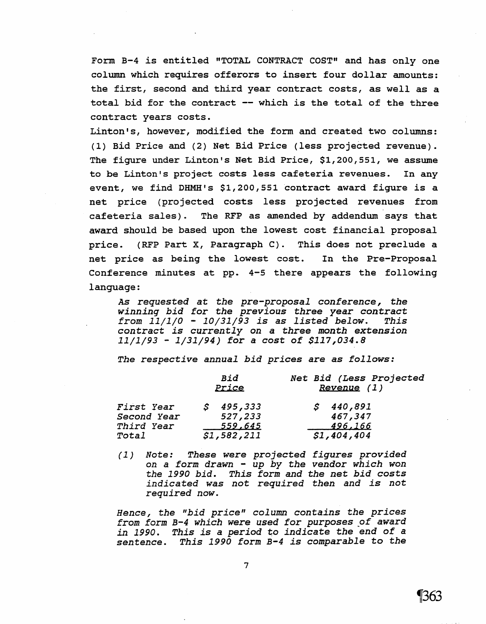Form B-4 is entitled "TOTAL CONTRACT COST" and has only one column which requires offerors to insert four dollar amounts: the first, second and third year contract costs, as well as a total bid for the contract -- which is the total of the three contract years costs.

Linton's, however, modified the form and created two columns: (1) Bid Price and (2) Net Bid Price (less projected revenue). The figure under Linton's Net Bid Price, \$1,200,551, we assume to be Linton's project costs less cafeteria revenues. In any event, we find DHMH's \$1,200,551 contract award figure is a net price (projected costs less projected revenues from cafeteria sales). The RFP as amended by addendum says that award should be based upon the lowest cost financial proposal price. (RFP Part X, Paragraph C). This does not preclude a net price as being the lowest cost. In the Pre-Proposal Conference minutes at pp. 4-5 there appears the following language:

*As requested* at *the pre-proposal conference, the winning bid for the previous three year contract from 11/1/0* - *10/31/93 is* as *listed below. This contract is currently* on a *three month extension*  11/1/93 - 1/31/94) *for* a *cost of \$117,034.8* 

*The respective annual bid prices are* as *follows:* 

|                                         | Bid<br>Price                    | Net Bid (Less Projected<br>Revenue (1) |  |  |
|-----------------------------------------|---------------------------------|----------------------------------------|--|--|
| First Year<br>Second Year<br>Third Year | \$495,333<br>527,233<br>559,645 | \$440,891<br>467,347<br>496,166        |  |  |
| Total                                   | \$1,582,211                     | \$1,404,404                            |  |  |

(1) Note: *These were projected figures provided*  on a *form drawn* - *up by the vendor which won the 1990 bid. This form* and *the net bid costs indicated was not required then and is not required now.* 

*Hence, the "bid price" column contains the prices*  from form B-4 which were used for purposes of award in 1990. This is a period to indicate the end of a *sentence. This 1990* form *B-4 is comparable* to *the*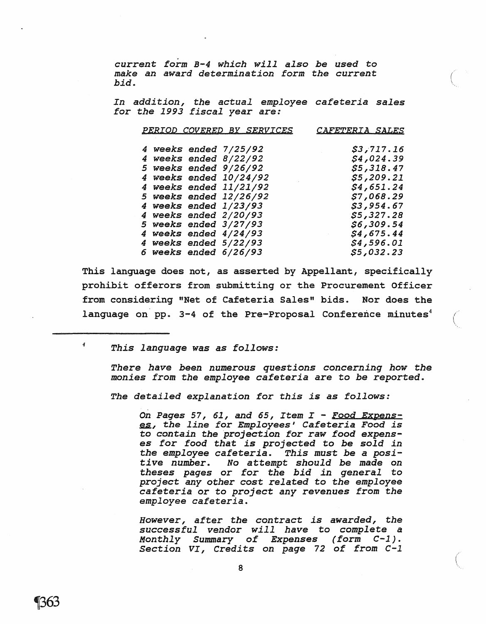curren~ *form B-4 which will also be used* to *make an award determination form the current bid.* 

*In addition, the actual employee cafeteria sales*   $for$  *the 1993 fiscal year are:* 

( '.

 $\bigg($ 

| PERIOD COVERED BY SERVICES<br><i>CAFETERIA SALES</i> |  |  |                         |                                                                                                                 |  |
|------------------------------------------------------|--|--|-------------------------|-----------------------------------------------------------------------------------------------------------------|--|
|                                                      |  |  | 4 weeks ended 7/25/92   | \$3,717.16                                                                                                      |  |
|                                                      |  |  | 4 weeks ended $8/22/92$ | \$4,024.39                                                                                                      |  |
|                                                      |  |  | 5 weeks ended 9/26/92   | \$5,318.47                                                                                                      |  |
|                                                      |  |  | 4 weeks ended 10/24/92  | \$5,209.21                                                                                                      |  |
|                                                      |  |  | 4 weeks ended 11/21/92  | \$4,651.24                                                                                                      |  |
|                                                      |  |  | 5 weeks ended 12/26/92  | \$7,068.29                                                                                                      |  |
|                                                      |  |  | 4 weeks ended 1/23/93   | \$3,954.67                                                                                                      |  |
|                                                      |  |  | 4 weeks ended 2/20/93   | \$5,327.28                                                                                                      |  |
|                                                      |  |  | 5 weeks ended 3/27/93   | \$6,309.54                                                                                                      |  |
|                                                      |  |  | 4 weeks ended $4/24/93$ | \$4,675.44<br>$\mathcal{L}_{\text{max}}$ and $\mathcal{L}_{\text{max}}$ . The set of $\mathcal{L}_{\text{max}}$ |  |
|                                                      |  |  | 4 weeks ended 5/22/93   | \$4,596.01                                                                                                      |  |
|                                                      |  |  | 6 weeks ended $6/26/93$ | \$5,032.23                                                                                                      |  |

This language does not, as asserted by Appellant, specifically prohibit offerors from submitting or the Procurement Officer from considering "Net of Cafeteria Sales" bids. Nor does the language on pp. 3-4 of the Pre-Proposal Conference minutes<sup>4</sup>

<sup>4</sup>*This language was* as *follows:* 

*There have been numerous questions concerning how the monies from the employee cafeteria are* to *be reported.* 

*The detailed explanation for this is as follows:* 

*On Pages* 57, 61, *and* 65, *Item I* - *Food Expens-* ~, ~he *line for Employees' Cafeteria Food is*  to *contain the projection for raw food expenses for food that is projected* to *be sold in the employee cafeteria. This must be* a *positive number. No attempt should be* made *on theses pages* or *for the bid in general* to *project any other cost related* to *the employee cafeteria* or to *project any revenues from the employee cafeteria.* 

*However, after the contract is awarded, the successful vendor will have* to *complete* <sup>a</sup> *Monthly Summary of Expenses (form C-1). Section VI, Credits on page* 72 of from *C-l*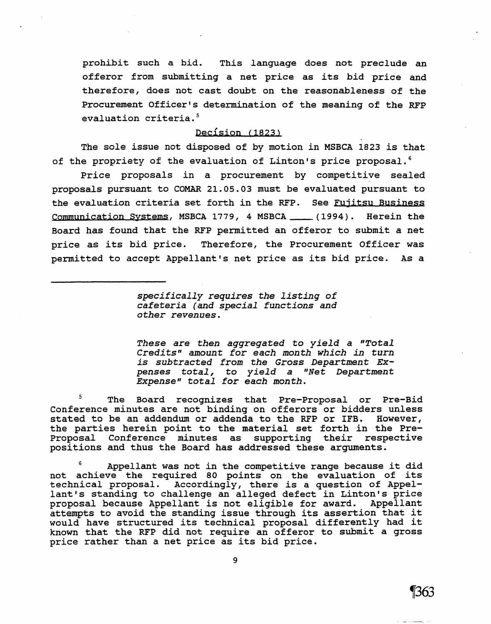prohibit such a bid. This language does not preclude an offeror from submitting a net price as its bid price and therefore, does not cast doubt on the reasonableness of the Procurement Officer's determination of the meaning of the RFP evaluation criteria.<sup>5</sup>

# Decision (1823)

The sole *issue* not disposed of by motion in MSBCA 1823 is that of the propriety of the evaluation of Linton's price proposal.<sup>6</sup>

Price proposals in a procurement by competitiye sealed proposals pursuant to COMAR 21.05.03 must be evaluated pursuant to the evaluation criteria set forth in the RFP. See Fujitsu Business Communication Systems, MSBCA 1779, 4 MSBCA \_\_\_\_ (1994). Herein the Board has found that the RFP permitted an offeror to submit a net price as its bid price. Therefore, the Procurement Officer was permitted to accept Appellant's net price as its bid price. As a

> *specifically requires the listing of cafeteria (and special functions and other revenues.*

*These are then aggregated* to *yield* a *"Total Credits" amount for each month which in turn is subtracted from the* Gross *Department Expenses total,* to *yield* a *"Net Department Expense" total* for *each month.* 

5 The Board recognizes that Pre-Proposal or Pre-Bid Conference minutes are not binding on offerors or bidders unless stated to be an addendum or addenda to the RFP or IFB. However, the parties herein point to the material set forth in the Pre-Proposal Conference minutes as supporting their respective positions and thus the Board has addressed these arguments.

Appellant was not in the competitive range because it did not achieve the required 80 points on the evaluation of its technical proposal. Accordingly, there is a question of Appellant's standing to challenge an alleged defect in Linton's price<br>proposal because Appellant is not eligible for award. Appellant proposal because Appellant is not eligible for award. attempts to avoid the standing issue through its assertion that it would have structured *its* technical proposal differently had it known that the RFP did not require an offeror to submit a gross price rather than a net price as its bid price.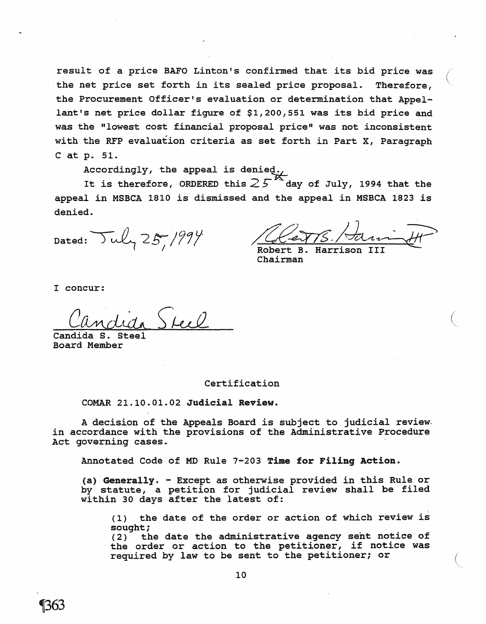result of a price BAFO Linton's confirmed that its bid price was the net price set forth in its sealed price proposal. Therefore, the Procurement Officer's evaluation or determination that Appellant's net price dollar figure of \$1,200,551 was its bid price and was the "lowest cost financial proposal price" was not inconsistent with the RFP evaluation criteria as set forth in Part *X,* Paragraph C at p. 51.

Accordingly, the appeal is denied.

It is therefore, ORDERED this  $25$  day of July, 1994 that the appeal in MSBCA 1810 *is* dismissed and the appeal in MSBCA 1823 *is*  denied.

Dated:  $\text{Tu}_7$  25, 1994

Robert B. Harrison III

Chairman

I concur:

Candida s. Steel Board Member

#### Certification

COMAR 21.10.01.02 Judicial Review.

A decision of the Appeals Board is subject to judicial review. in accordance with the provisions of the Administrative Procedure Act governing cases.

Annotated Code of MD Rule 7-203 Time for Filing Action.

(a) Generally. - Except as otherwise provided in this Rule or by statute, a petition for judicial review shall be filed within 30 days after the latest of:

(1) the date of the order or action of which review *is*  sought;

(2) the date the administrative agency sent notice of the order or action to the petitioner, if notice was required by law to be sent to the petitioner; or (